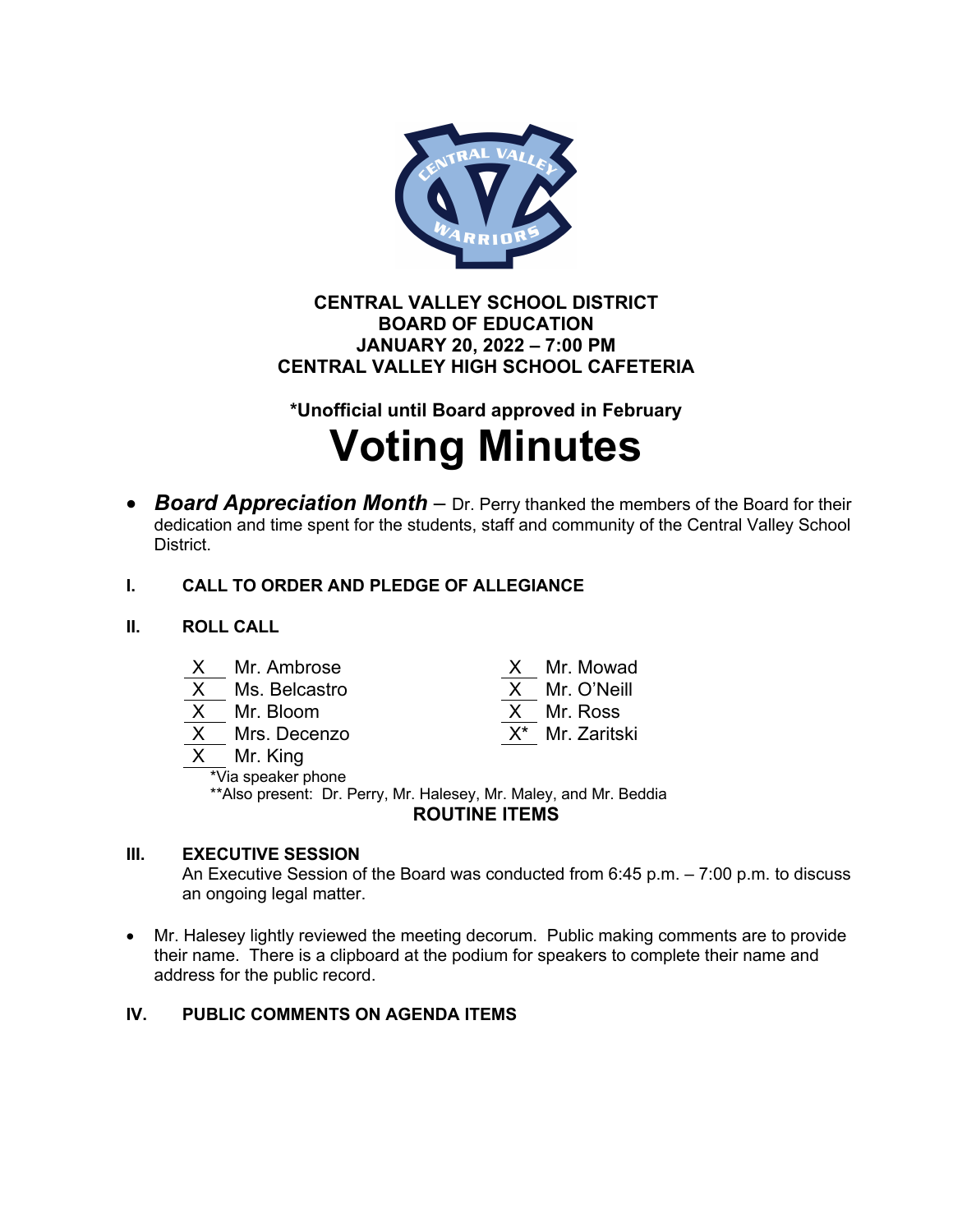

# **CENTRAL VALLEY SCHOOL DISTRICT BOARD OF EDUCATION JANUARY 20, 2022 – 7:00 PM CENTRAL VALLEY HIGH SCHOOL CAFETERIA**

**\*Unofficial until Board approved in February**

# **Voting Minutes**

• *Board Appreciation Month* – Dr. Perry thanked the members of the Board for their dedication and time spent for the students, staff and community of the Central Valley School District.

# **I. CALL TO ORDER AND PLEDGE OF ALLEGIANCE**

### **II. ROLL CALL**

| $\boldsymbol{\mathsf{X}}$ |  | Mr. Ambrose |
|---------------------------|--|-------------|
|                           |  |             |

- 
- 
- 
- Mr. King

Mr. Mowad  $\overline{X}$  Ms. Belcastro  $\overline{X}$  Mr. O'Neill X Mr. Bloom X Mr. Ross Mrs. Decenzo X<sup>\*</sup> Mr. Zaritski

\*Via speaker phone \*\*Also present: Dr. Perry, Mr. Halesey, Mr. Maley, and Mr. Beddia **ROUTINE ITEMS**

# **III. EXECUTIVE SESSION**

An Executive Session of the Board was conducted from 6:45 p.m. – 7:00 p.m. to discuss an ongoing legal matter.

• Mr. Halesey lightly reviewed the meeting decorum. Public making comments are to provide their name. There is a clipboard at the podium for speakers to complete their name and address for the public record.

# **IV. PUBLIC COMMENTS ON AGENDA ITEMS**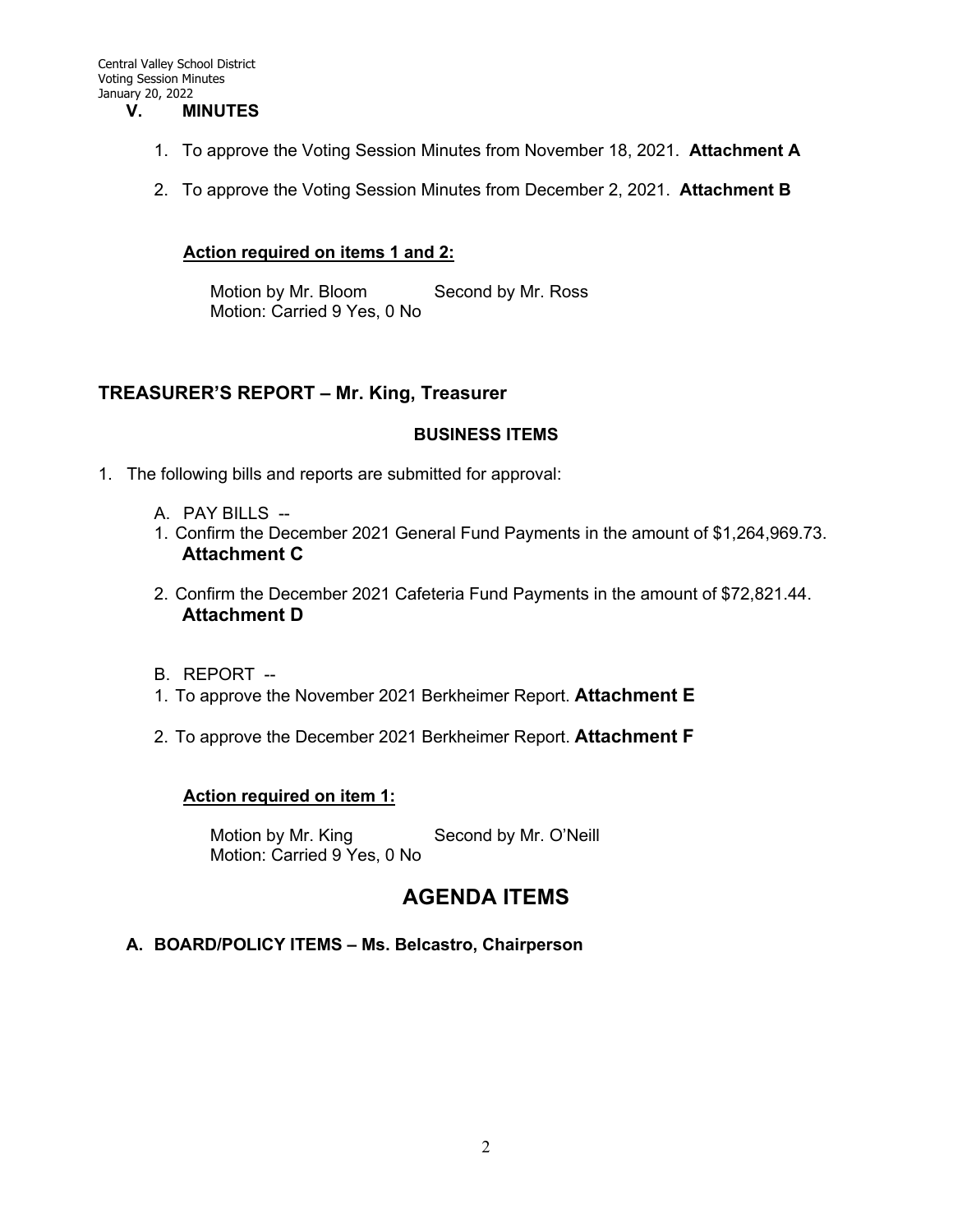#### **V. MINUTES**

- 1. To approve the Voting Session Minutes from November 18, 2021. **Attachment A**
- 2. To approve the Voting Session Minutes from December 2, 2021. **Attachment B**

#### **Action required on items 1 and 2:**

Motion by Mr. Bloom Second by Mr. Ross Motion: Carried 9 Yes, 0 No

#### **TREASURER'S REPORT – Mr. King, Treasurer**

#### **BUSINESS ITEMS**

- 1. The following bills and reports are submitted for approval:
	- A. PAY BILLS --
	- 1. Confirm the December 2021 General Fund Payments in the amount of \$1,264,969.73. **Attachment C**
	- 2. Confirm the December 2021 Cafeteria Fund Payments in the amount of \$72,821.44. **Attachment D**
	- B. REPORT --
	- 1. To approve the November 2021 Berkheimer Report. **Attachment E**
	- 2. To approve the December 2021 Berkheimer Report. **Attachment F**

#### **Action required on item 1:**

Motion by Mr. King Second by Mr. O'Neill Motion: Carried 9 Yes, 0 No

# **AGENDA ITEMS**

#### **A. BOARD/POLICY ITEMS – Ms. Belcastro, Chairperson**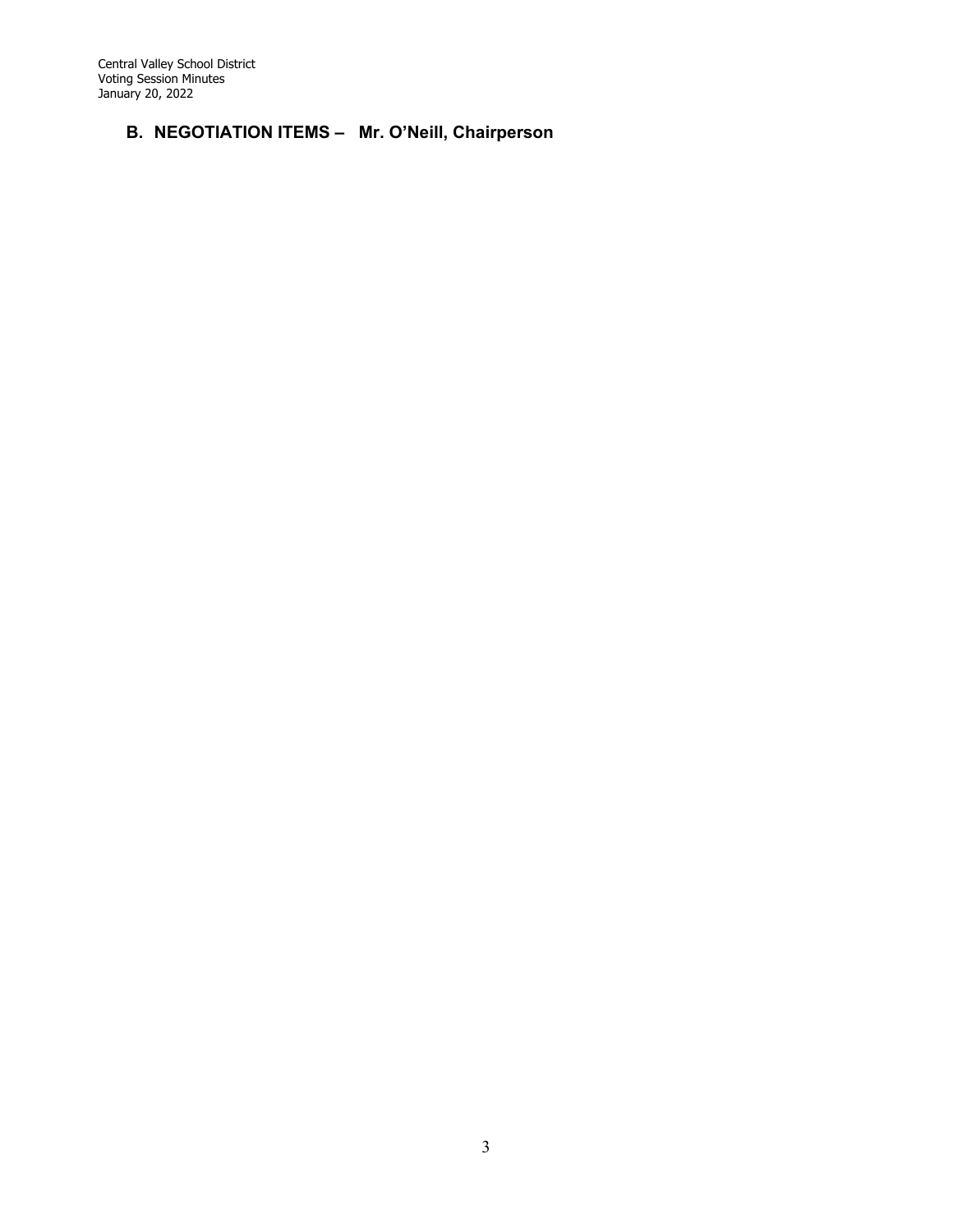Central Valley School District Voting Session Minutes January 20, 2022

# **B. NEGOTIATION ITEMS – Mr. O'Neill, Chairperson**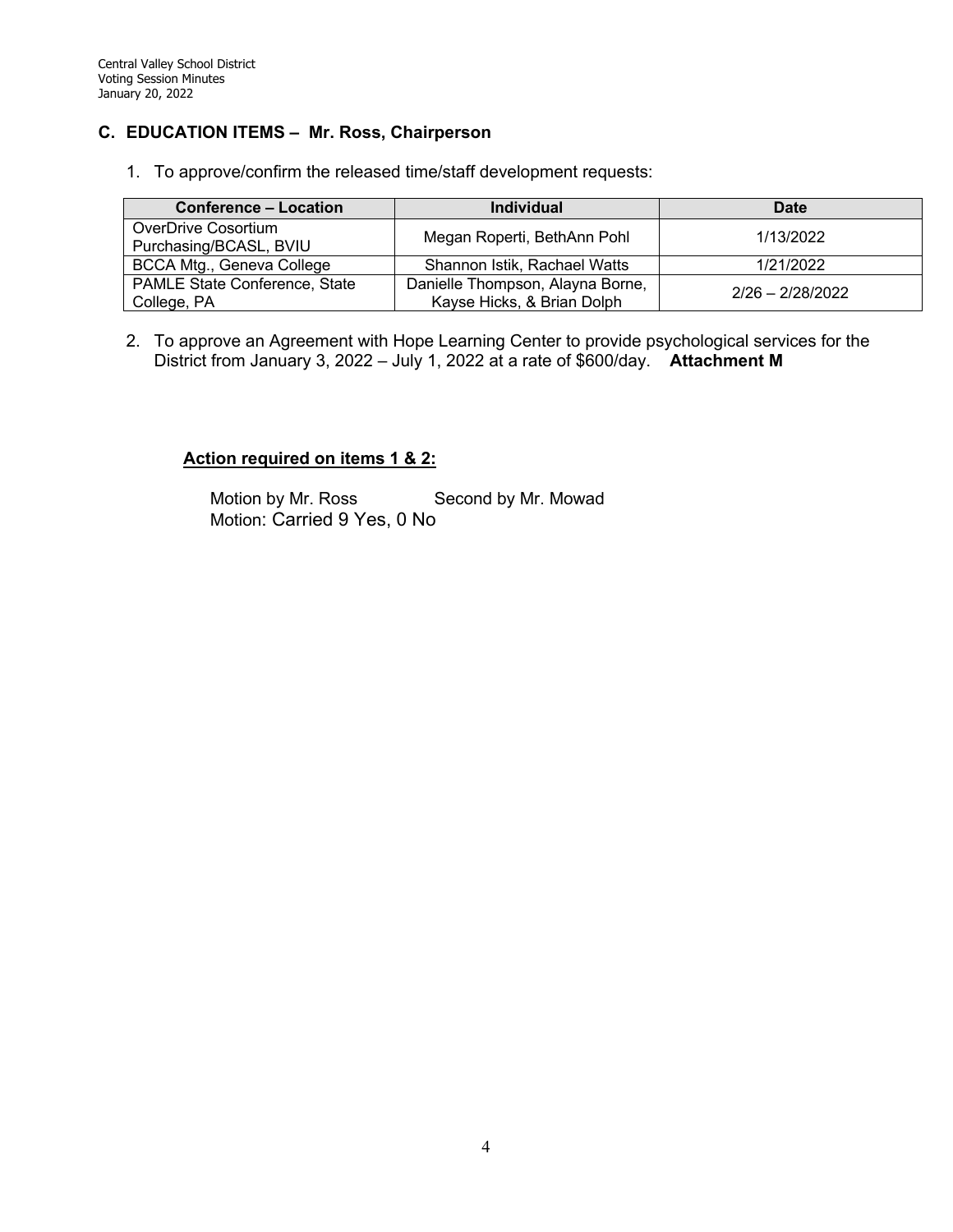#### **C. EDUCATION ITEMS – Mr. Ross, Chairperson**

1. To approve/confirm the released time/staff development requests:

| <b>Conference - Location</b>                        | <b>Individual</b>                                              | Date               |
|-----------------------------------------------------|----------------------------------------------------------------|--------------------|
| OverDrive Cosortium<br>Purchasing/BCASL, BVIU       | Megan Roperti, BethAnn Pohl                                    | 1/13/2022          |
| BCCA Mtg., Geneva College                           | Shannon Istik, Rachael Watts                                   | 1/21/2022          |
| <b>PAMLE State Conference, State</b><br>College, PA | Danielle Thompson, Alayna Borne,<br>Kayse Hicks, & Brian Dolph | $2/26 - 2/28/2022$ |

2. To approve an Agreement with Hope Learning Center to provide psychological services for the District from January 3, 2022 – July 1, 2022 at a rate of \$600/day. **Attachment M**

#### **Action required on items 1 & 2:**

Motion by Mr. Ross Second by Mr. Mowad Motion: Carried 9 Yes, 0 No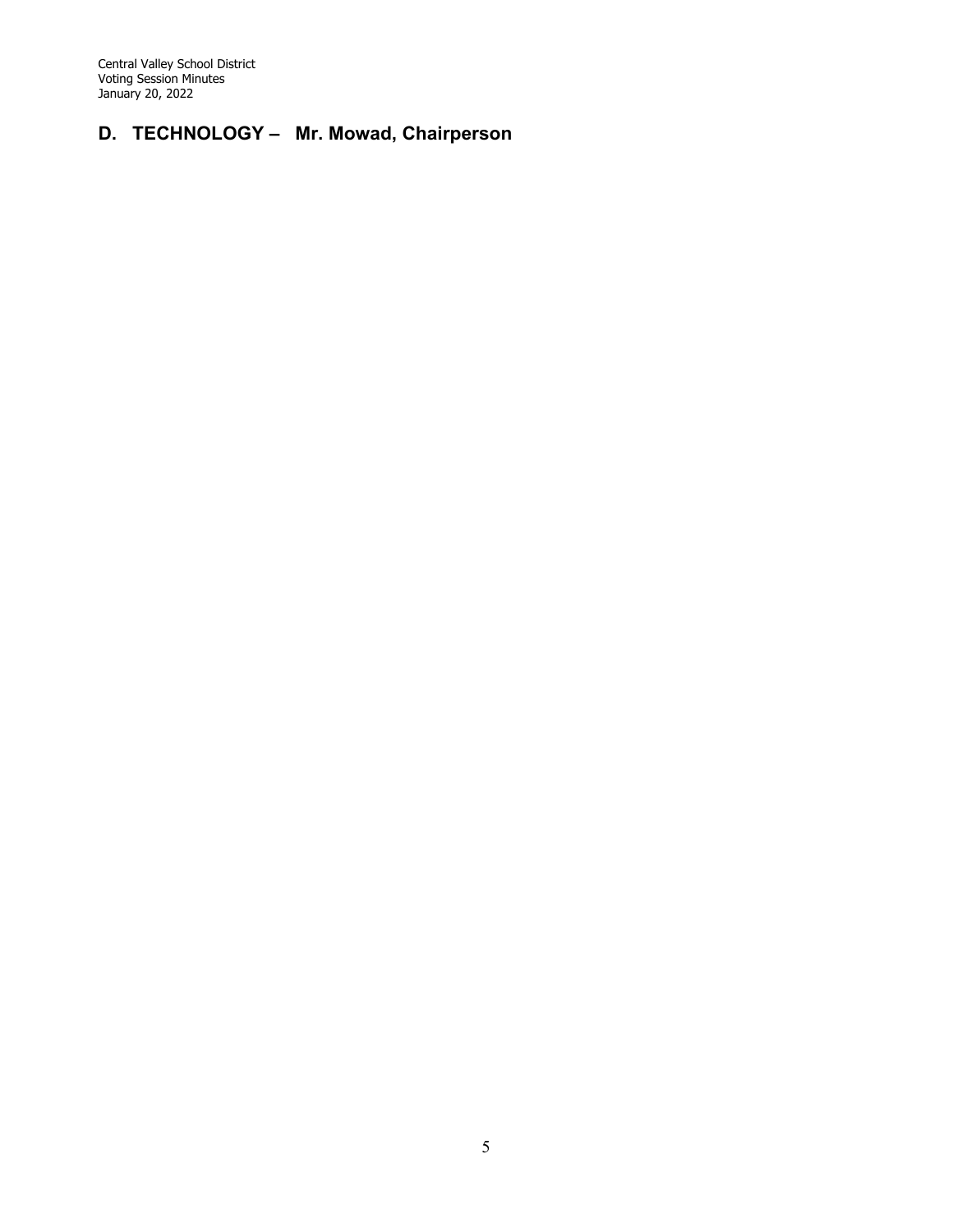Central Valley School District Voting Session Minutes January 20, 2022

# **D. TECHNOLOGY – Mr. Mowad, Chairperson**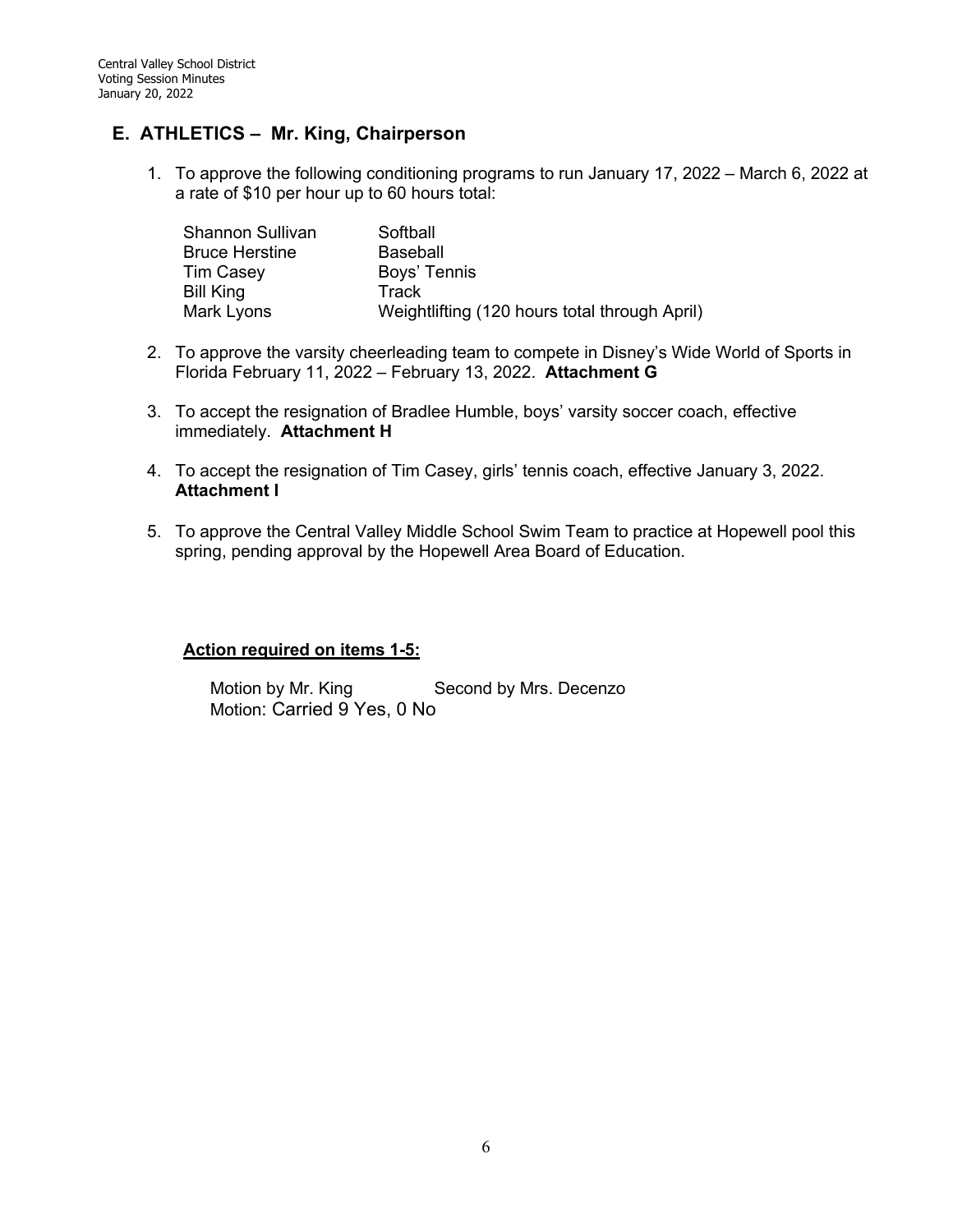# **E. ATHLETICS – Mr. King, Chairperson**

1. To approve the following conditioning programs to run January 17, 2022 – March 6, 2022 at a rate of \$10 per hour up to 60 hours total:

| <b>Shannon Sullivan</b> | Softball                                      |
|-------------------------|-----------------------------------------------|
| <b>Bruce Herstine</b>   | <b>Baseball</b>                               |
| <b>Tim Casey</b>        | Boys' Tennis                                  |
| Bill King               | Track                                         |
| Mark Lyons              | Weightlifting (120 hours total through April) |

- 2. To approve the varsity cheerleading team to compete in Disney's Wide World of Sports in Florida February 11, 2022 – February 13, 2022. **Attachment G**
- 3. To accept the resignation of Bradlee Humble, boys' varsity soccer coach, effective immediately. **Attachment H**
- 4. To accept the resignation of Tim Casey, girls' tennis coach, effective January 3, 2022. **Attachment I**
- 5. To approve the Central Valley Middle School Swim Team to practice at Hopewell pool this spring, pending approval by the Hopewell Area Board of Education.

#### **Action required on items 1-5:**

Motion by Mr. King Second by Mrs. Decenzo Motion: Carried 9 Yes, 0 No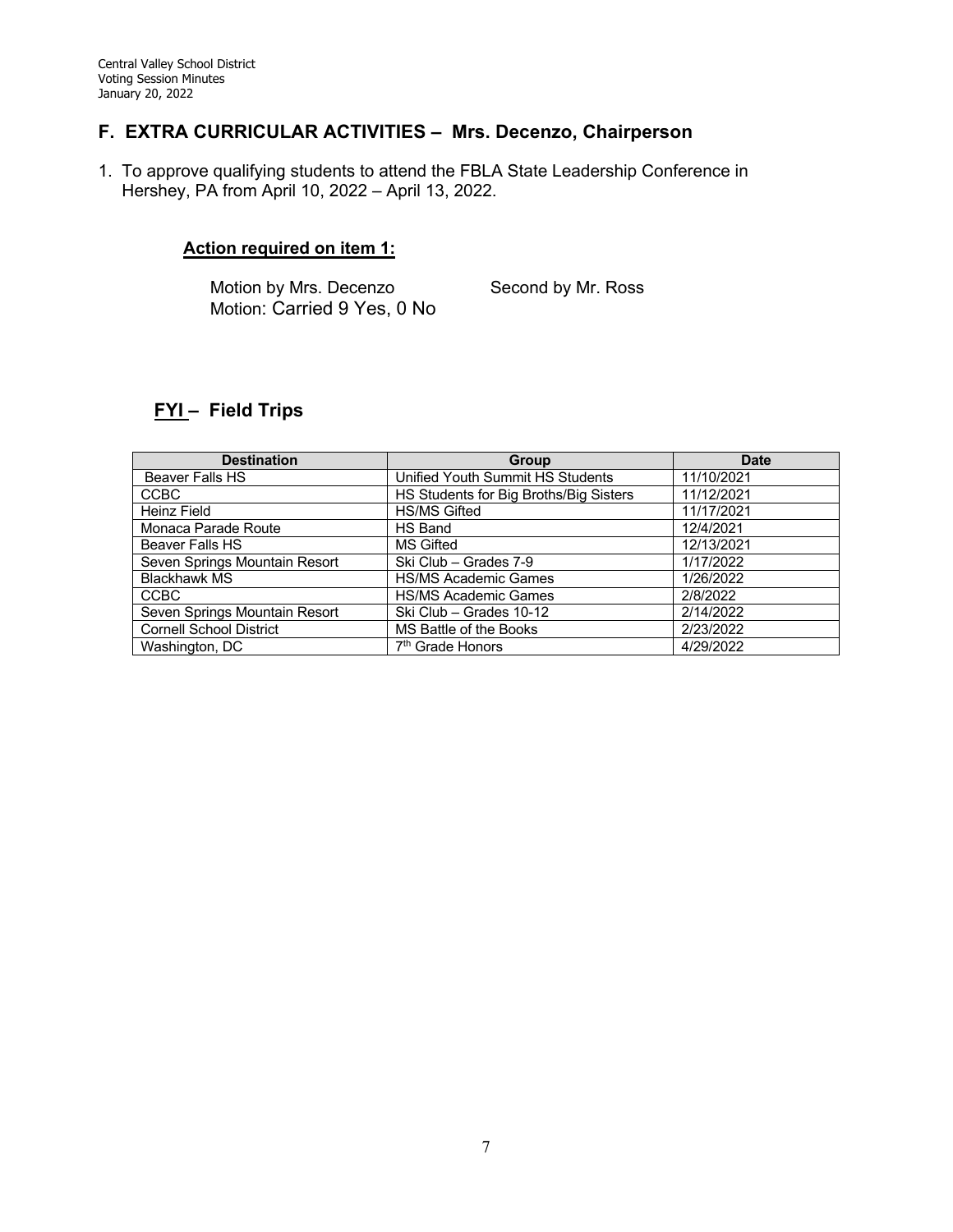## **F. EXTRA CURRICULAR ACTIVITIES – Mrs. Decenzo, Chairperson**

1. To approve qualifying students to attend the FBLA State Leadership Conference in Hershey, PA from April 10, 2022 – April 13, 2022.

#### **Action required on item 1:**

Motion by Mrs. Decenzo Second by Mr. Ross Motion: Carried 9 Yes, 0 No

# **FYI – Field Trips**

| <b>Destination</b>             | Group                                  |            |
|--------------------------------|----------------------------------------|------------|
| Beaver Falls HS                | Unified Youth Summit HS Students       | 11/10/2021 |
| <b>CCBC</b>                    | HS Students for Big Broths/Big Sisters | 11/12/2021 |
| <b>Heinz Field</b>             | <b>HS/MS Gifted</b>                    | 11/17/2021 |
| Monaca Parade Route            | HS Band                                | 12/4/2021  |
| Beaver Falls HS                | <b>MS Gifted</b>                       | 12/13/2021 |
| Seven Springs Mountain Resort  | Ski Club - Grades 7-9                  | 1/17/2022  |
| <b>Blackhawk MS</b>            | <b>HS/MS Academic Games</b>            | 1/26/2022  |
| <b>CCBC</b>                    | <b>HS/MS Academic Games</b>            | 2/8/2022   |
| Seven Springs Mountain Resort  | Ski Club - Grades 10-12                | 2/14/2022  |
| <b>Cornell School District</b> | MS Battle of the Books                 | 2/23/2022  |
| Washington, DC                 | 7 <sup>th</sup> Grade Honors           | 4/29/2022  |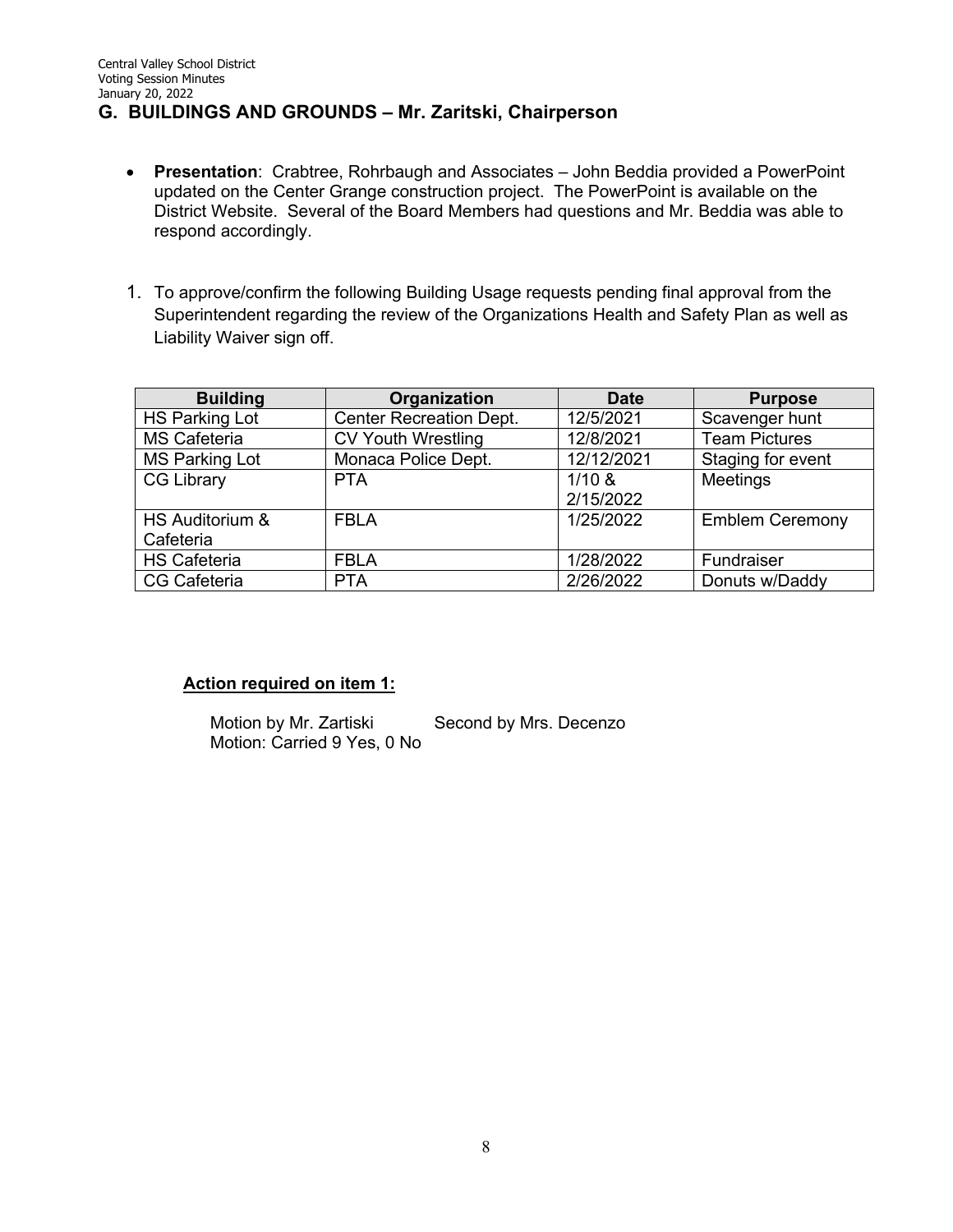# **G. BUILDINGS AND GROUNDS – Mr. Zaritski, Chairperson**

- **Presentation**: Crabtree, Rohrbaugh and Associates John Beddia provided a PowerPoint updated on the Center Grange construction project. The PowerPoint is available on the District Website. Several of the Board Members had questions and Mr. Beddia was able to respond accordingly.
- 1. To approve/confirm the following Building Usage requests pending final approval from the Superintendent regarding the review of the Organizations Health and Safety Plan as well as Liability Waiver sign off.

| <b>Building</b>       | Organization                   | <b>Date</b> | <b>Purpose</b>         |
|-----------------------|--------------------------------|-------------|------------------------|
| <b>HS Parking Lot</b> | <b>Center Recreation Dept.</b> | 12/5/2021   | Scavenger hunt         |
| <b>MS Cafeteria</b>   | <b>CV Youth Wrestling</b>      | 12/8/2021   | <b>Team Pictures</b>   |
| <b>MS Parking Lot</b> | Monaca Police Dept.            | 12/12/2021  | Staging for event      |
| <b>CG Library</b>     | <b>PTA</b>                     | 1/10 &      | Meetings               |
|                       |                                | 2/15/2022   |                        |
| HS Auditorium &       | <b>FBLA</b>                    | 1/25/2022   | <b>Emblem Ceremony</b> |
| Cafeteria             |                                |             |                        |
| <b>HS Cafeteria</b>   | <b>FBLA</b>                    | 1/28/2022   | Fundraiser             |
| <b>CG Cafeteria</b>   | <b>PTA</b>                     | 2/26/2022   | Donuts w/Daddy         |

#### **Action required on item 1:**

Motion by Mr. Zartiski Second by Mrs. Decenzo Motion: Carried 9 Yes, 0 No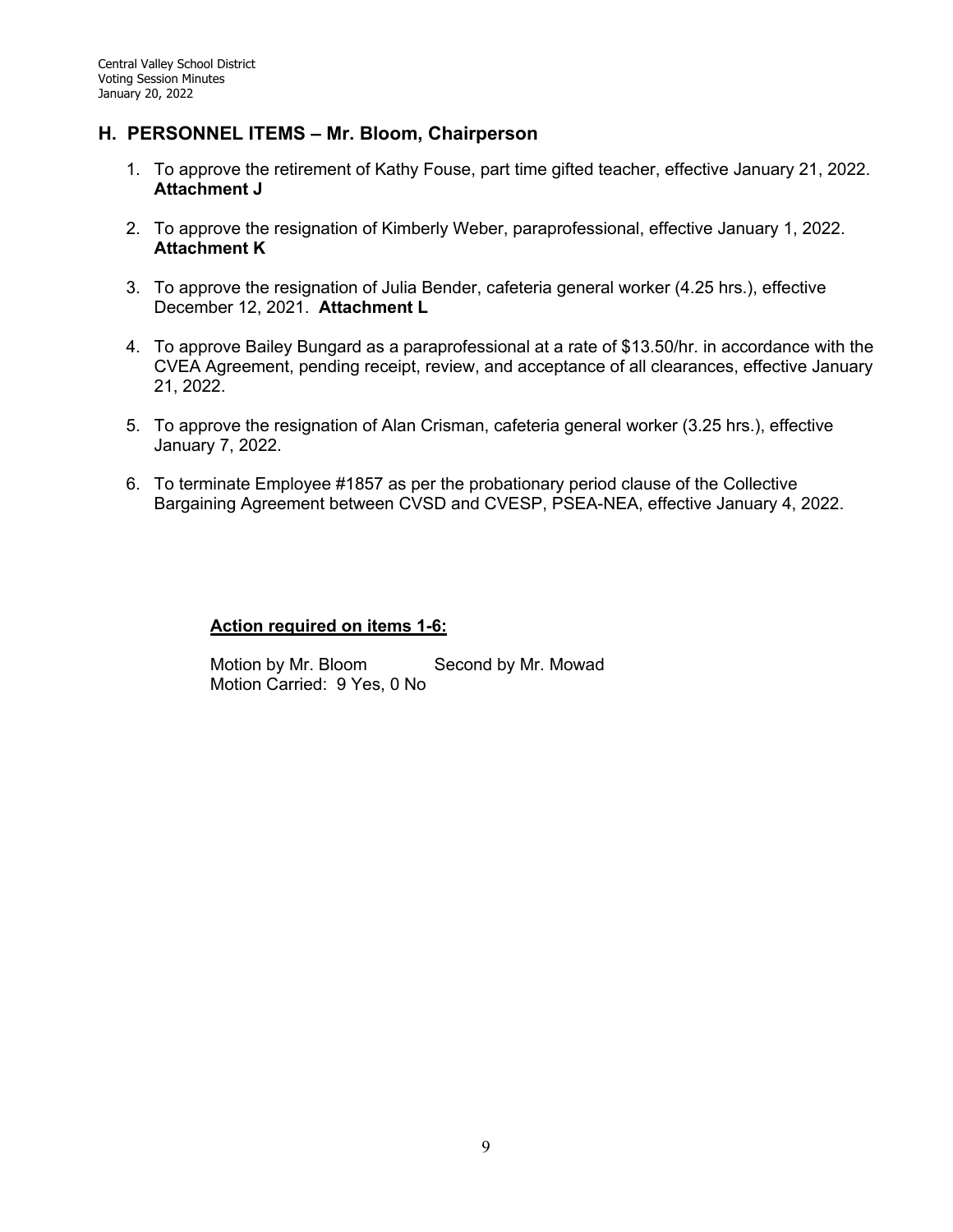#### **H. PERSONNEL ITEMS – Mr. Bloom, Chairperson**

- 1. To approve the retirement of Kathy Fouse, part time gifted teacher, effective January 21, 2022. **Attachment J**
- 2. To approve the resignation of Kimberly Weber, paraprofessional, effective January 1, 2022. **Attachment K**
- 3. To approve the resignation of Julia Bender, cafeteria general worker (4.25 hrs.), effective December 12, 2021. **Attachment L**
- 4. To approve Bailey Bungard as a paraprofessional at a rate of \$13.50/hr. in accordance with the CVEA Agreement, pending receipt, review, and acceptance of all clearances, effective January 21, 2022.
- 5. To approve the resignation of Alan Crisman, cafeteria general worker (3.25 hrs.), effective January 7, 2022.
- 6. To terminate Employee #1857 as per the probationary period clause of the Collective Bargaining Agreement between CVSD and CVESP, PSEA-NEA, effective January 4, 2022.

#### **Action required on items 1-6:**

Motion by Mr. Bloom Second by Mr. Mowad Motion Carried: 9 Yes, 0 No